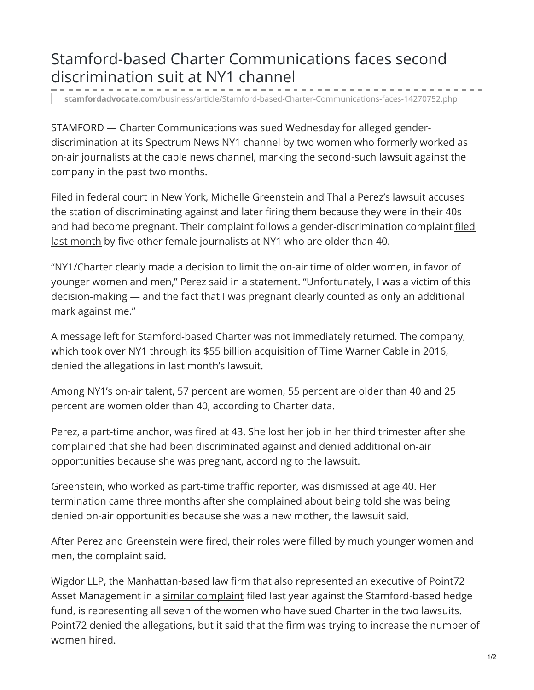## Stamford-based Charter Communications faces second discrimination suit at NY1 channel

**stamfordadvocate.com**[/business/article/Stamford-based-Charter-Communications-faces-14270752.php](https://www.stamfordadvocate.com/business/article/Stamford-based-Charter-Communications-faces-14270752.php)

STAMFORD — Charter Communications was sued Wednesday for alleged genderdiscrimination at its Spectrum News NY1 channel by two women who formerly worked as on-air journalists at the cable news channel, marking the second-such lawsuit against the company in the past two months.

Filed in federal court in New York, Michelle Greenstein and Thalia Perez's lawsuit accuses the station of discriminating against and later firing them because they were in their 40s and had become pregnant. Their complaint follows a [gender-discrimination](https://www.stamfordadvocate.com/business/article/Charter-Communications-NY1-hit-with-14017555.php) complaint filed last month by five other female journalists at NY1 who are older than 40.

"NY1/Charter clearly made a decision to limit the on-air time of older women, in favor of younger women and men," Perez said in a statement. "Unfortunately, I was a victim of this decision-making — and the fact that I was pregnant clearly counted as only an additional mark against me."

A message left for Stamford-based Charter was not immediately returned. The company, which took over NY1 through its \$55 billion acquisition of Time Warner Cable in 2016, denied the allegations in last month's lawsuit.

Among NY1's on-air talent, 57 percent are women, 55 percent are older than 40 and 25 percent are women older than 40, according to Charter data.

Perez, a part-time anchor, was fired at 43. She lost her job in her third trimester after she complained that she had been discriminated against and denied additional on-air opportunities because she was pregnant, according to the lawsuit.

Greenstein, who worked as part-time traffic reporter, was dismissed at age 40. Her termination came three months after she complained about being told she was being denied on-air opportunities because she was a new mother, the lawsuit said.

After Perez and Greenstein were fired, their roles were filled by much younger women and men, the complaint said.

Wigdor LLP, the Manhattan-based law firm that also represented an executive of Point72 Asset Management in a similar [complaint](https://www.apnews.com/962d89cd8b8f41f18510553da1ea5183) filed last year against the Stamford-based hedge fund, is representing all seven of the women who have sued Charter in the two lawsuits. Point72 denied the allegations, but it said that the firm was trying to increase the number of women hired.